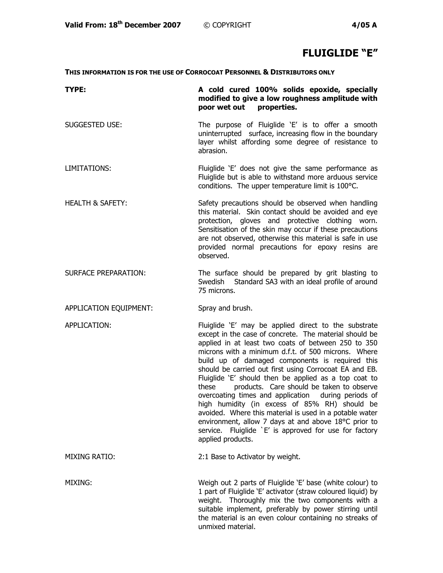## **FLUIGLIDE "E"**

**THIS INFORMATION IS FOR THE USE OF CORROCOAT PERSONNEL & DISTRIBUTORS ONLY**

| TYPE:                       | A cold cured 100% solids epoxide, specially<br>modified to give a low roughness amplitude with<br>poor wet out properties.                                                                                                                                                                                                                                                                                                                                                                                                                                                                                                                                                                                                                                         |
|-----------------------------|--------------------------------------------------------------------------------------------------------------------------------------------------------------------------------------------------------------------------------------------------------------------------------------------------------------------------------------------------------------------------------------------------------------------------------------------------------------------------------------------------------------------------------------------------------------------------------------------------------------------------------------------------------------------------------------------------------------------------------------------------------------------|
| SUGGESTED USE:              | The purpose of Fluiglide 'E' is to offer a smooth<br>uninterrupted surface, increasing flow in the boundary<br>layer whilst affording some degree of resistance to<br>abrasion.                                                                                                                                                                                                                                                                                                                                                                                                                                                                                                                                                                                    |
| LIMITATIONS:                | Fluiglide 'E' does not give the same performance as<br>Fluiglide but is able to withstand more arduous service<br>conditions. The upper temperature limit is 100°C.                                                                                                                                                                                                                                                                                                                                                                                                                                                                                                                                                                                                |
| <b>HEALTH &amp; SAFETY:</b> | Safety precautions should be observed when handling<br>this material. Skin contact should be avoided and eye<br>protection, gloves and protective clothing worn.<br>Sensitisation of the skin may occur if these precautions<br>are not observed, otherwise this material is safe in use<br>provided normal precautions for epoxy resins are<br>observed.                                                                                                                                                                                                                                                                                                                                                                                                          |
| <b>SURFACE PREPARATION:</b> | The surface should be prepared by grit blasting to<br>Swedish Standard SA3 with an ideal profile of around<br>75 microns.                                                                                                                                                                                                                                                                                                                                                                                                                                                                                                                                                                                                                                          |
| APPLICATION EQUIPMENT:      | Spray and brush.                                                                                                                                                                                                                                                                                                                                                                                                                                                                                                                                                                                                                                                                                                                                                   |
| APPLICATION:                | Fluiglide 'E' may be applied direct to the substrate<br>except in the case of concrete. The material should be<br>applied in at least two coats of between 250 to 350<br>microns with a minimum d.f.t. of 500 microns. Where<br>build up of damaged components is required this<br>should be carried out first using Corrocoat EA and EB.<br>Fluiglide 'E' should then be applied as a top coat to<br>products. Care should be taken to observe<br>these<br>overcoating times and application during periods of<br>high humidity (in excess of 85% RH) should be<br>avoided. Where this material is used in a potable water<br>environment, allow 7 days at and above 18°C prior to<br>service. Fluiglide `E' is approved for use for factory<br>applied products. |
| <b>MIXING RATIO:</b>        | 2:1 Base to Activator by weight.                                                                                                                                                                                                                                                                                                                                                                                                                                                                                                                                                                                                                                                                                                                                   |
| MIXING:                     | Weigh out 2 parts of Fluiglide 'E' base (white colour) to<br>1 part of Fluiglide 'E' activator (straw coloured liquid) by<br>weight. Thoroughly mix the two components with a<br>suitable implement, preferably by power stirring until<br>the material is an even colour containing no streaks of<br>unmixed material.                                                                                                                                                                                                                                                                                                                                                                                                                                            |